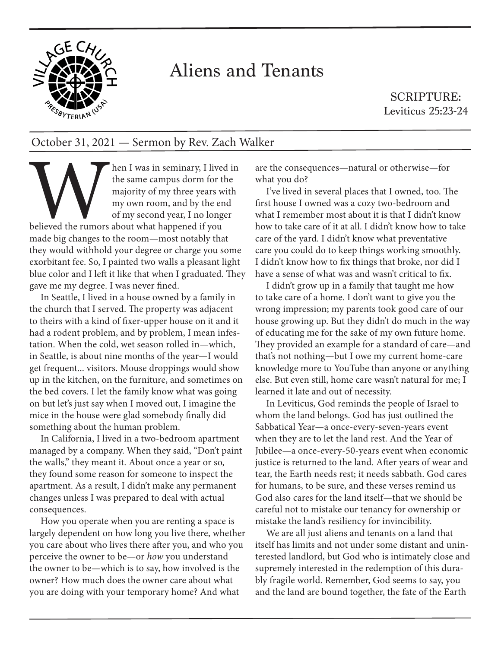

## Aliens and Tenants

SCRIPTURE: Leviticus 25:23-24

## October 31, 2021 — Sermon by Rev. Zach Walker

the s<br>the s<br>major my c<br>made big changes to the r hen I was in seminary, I lived in the same campus dorm for the majority of my three years with my own room, and by the end of my second year, I no longer believed the rumors about what happened if you made big changes to the room—most notably that they would withhold your degree or charge you some exorbitant fee. So, I painted two walls a pleasant light blue color and I left it like that when I graduated. They gave me my degree. I was never fined.

In Seattle, I lived in a house owned by a family in the church that I served. The property was adjacent to theirs with a kind of fixer-upper house on it and it had a rodent problem, and by problem, I mean infestation. When the cold, wet season rolled in—which, in Seattle, is about nine months of the year—I would get frequent... visitors. Mouse droppings would show up in the kitchen, on the furniture, and sometimes on the bed covers. I let the family know what was going on but let's just say when I moved out, I imagine the mice in the house were glad somebody finally did something about the human problem.

In California, I lived in a two-bedroom apartment managed by a company. When they said, "Don't paint the walls," they meant it. About once a year or so, they found some reason for someone to inspect the apartment. As a result, I didn't make any permanent changes unless I was prepared to deal with actual consequences.

How you operate when you are renting a space is largely dependent on how long you live there, whether you care about who lives there after you, and who you perceive the owner to be—or *how* you understand the owner to be—which is to say, how involved is the owner? How much does the owner care about what you are doing with your temporary home? And what

are the consequences—natural or otherwise—for what you do?

I've lived in several places that I owned, too. The first house I owned was a cozy two-bedroom and what I remember most about it is that I didn't know how to take care of it at all. I didn't know how to take care of the yard. I didn't know what preventative care you could do to keep things working smoothly. I didn't know how to fix things that broke, nor did I have a sense of what was and wasn't critical to fix.

I didn't grow up in a family that taught me how to take care of a home. I don't want to give you the wrong impression; my parents took good care of our house growing up. But they didn't do much in the way of educating me for the sake of my own future home. They provided an example for a standard of care—and that's not nothing—but I owe my current home-care knowledge more to YouTube than anyone or anything else. But even still, home care wasn't natural for me; I learned it late and out of necessity.

In Leviticus, God reminds the people of Israel to whom the land belongs. God has just outlined the Sabbatical Year—a once-every-seven-years event when they are to let the land rest. And the Year of Jubilee—a once-every-50-years event when economic justice is returned to the land. After years of wear and tear, the Earth needs rest; it needs sabbath. God cares for humans, to be sure, and these verses remind us God also cares for the land itself—that we should be careful not to mistake our tenancy for ownership or mistake the land's resiliency for invincibility.

We are all just aliens and tenants on a land that itself has limits and not under some distant and uninterested landlord, but God who is intimately close and supremely interested in the redemption of this durably fragile world. Remember, God seems to say, you and the land are bound together, the fate of the Earth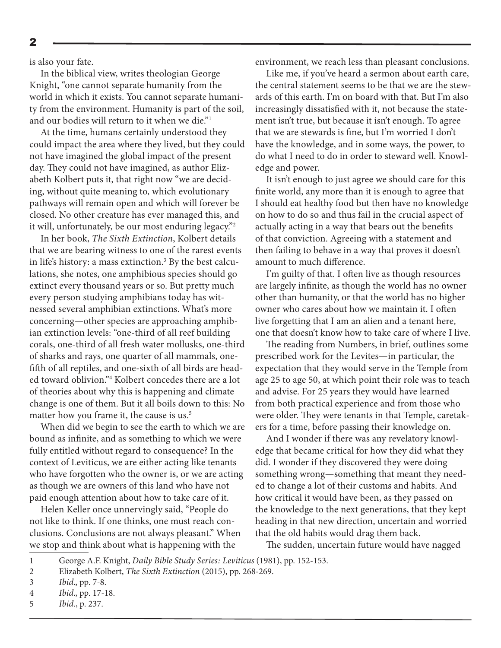2

is also your fate.

In the biblical view, writes theologian George Knight, "one cannot separate humanity from the world in which it exists. You cannot separate humanity from the environment. Humanity is part of the soil, and our bodies will return to it when we die."1

At the time, humans certainly understood they could impact the area where they lived, but they could not have imagined the global impact of the present day. They could not have imagined, as author Elizabeth Kolbert puts it, that right now "we are deciding, without quite meaning to, which evolutionary pathways will remain open and which will forever be closed. No other creature has ever managed this, and it will, unfortunately, be our most enduring legacy."2

In her book, *The Sixth Extinction*, Kolbert details that we are bearing witness to one of the rarest events in life's history: a mass extinction.3 By the best calculations, she notes, one amphibious species should go extinct every thousand years or so. But pretty much every person studying amphibians today has witnessed several amphibian extinctions. What's more concerning—other species are approaching amphibian extinction levels: "one-third of all reef building corals, one-third of all fresh water mollusks, one-third of sharks and rays, one quarter of all mammals, onefifth of all reptiles, and one-sixth of all birds are headed toward oblivion."4 Kolbert concedes there are a lot of theories about why this is happening and climate change is one of them. But it all boils down to this: No matter how you frame it, the cause is us.<sup>5</sup>

When did we begin to see the earth to which we are bound as infinite, and as something to which we were fully entitled without regard to consequence? In the context of Leviticus, we are either acting like tenants who have forgotten who the owner is, or we are acting as though we are owners of this land who have not paid enough attention about how to take care of it.

Helen Keller once unnervingly said, "People do not like to think. If one thinks, one must reach conclusions. Conclusions are not always pleasant." When we stop and think about what is happening with the

environment, we reach less than pleasant conclusions.

Like me, if you've heard a sermon about earth care, the central statement seems to be that we are the stewards of this earth. I'm on board with that. But I'm also increasingly dissatisfied with it, not because the statement isn't true, but because it isn't enough. To agree that we are stewards is fine, but I'm worried I don't have the knowledge, and in some ways, the power, to do what I need to do in order to steward well. Knowledge and power.

It isn't enough to just agree we should care for this finite world, any more than it is enough to agree that I should eat healthy food but then have no knowledge on how to do so and thus fail in the crucial aspect of actually acting in a way that bears out the benefits of that conviction. Agreeing with a statement and then failing to behave in a way that proves it doesn't amount to much difference.

I'm guilty of that. I often live as though resources are largely infinite, as though the world has no owner other than humanity, or that the world has no higher owner who cares about how we maintain it. I often live forgetting that I am an alien and a tenant here, one that doesn't know how to take care of where I live.

The reading from Numbers, in brief, outlines some prescribed work for the Levites—in particular, the expectation that they would serve in the Temple from age 25 to age 50, at which point their role was to teach and advise. For 25 years they would have learned from both practical experience and from those who were older. They were tenants in that Temple, caretakers for a time, before passing their knowledge on.

And I wonder if there was any revelatory knowledge that became critical for how they did what they did. I wonder if they discovered they were doing something wrong—something that meant they needed to change a lot of their customs and habits. And how critical it would have been, as they passed on the knowledge to the next generations, that they kept heading in that new direction, uncertain and worried that the old habits would drag them back.

The sudden, uncertain future would have nagged

<sup>1</sup> George A.F. Knight, *Daily Bible Study Series: Leviticus* (1981), pp. 152-153.

<sup>2</sup> Elizabeth Kolbert, *The Sixth Extinction* (2015), pp. 268-269.

<sup>3</sup> *Ibid.*, pp. 7-8.

<sup>4</sup> *Ibid.*, pp. 17-18.

<sup>5</sup> *Ibid*., p. 237.